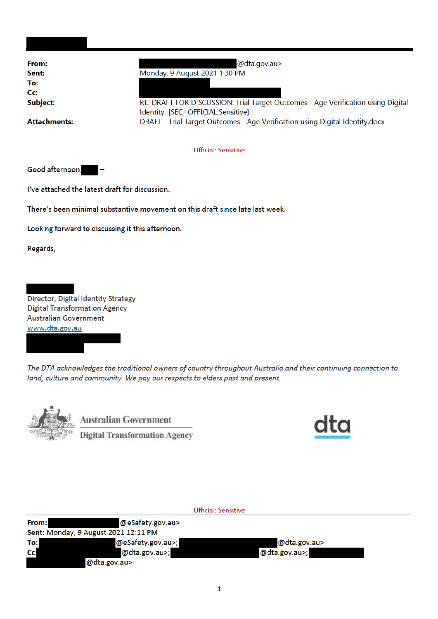| From:<br>Sent:<br>To:<br>$C_{\mathbf{C}}$<br>Subject:<br><b>Attachments:</b>                                                  | @dta.gov.au><br>Monday, 9 August 2021 1:30 PM<br>RE: DRAFT FOR DISCUSSION: Trial Target Outcomes - Age Verification using Digital<br>Identity [SEC=OFFICIAL:Sensitive]<br>DRAFT - Trial Target Outcomes - Age Verification using Digital Identity.docx |  |  |  |  |
|-------------------------------------------------------------------------------------------------------------------------------|--------------------------------------------------------------------------------------------------------------------------------------------------------------------------------------------------------------------------------------------------------|--|--|--|--|
| <b>Official: Sensitive</b>                                                                                                    |                                                                                                                                                                                                                                                        |  |  |  |  |
| Good afternoon,                                                                                                               |                                                                                                                                                                                                                                                        |  |  |  |  |
|                                                                                                                               | I've attached the latest draft for discussion.                                                                                                                                                                                                         |  |  |  |  |
| There's been minimal substantive movement on this draft since late last week.                                                 |                                                                                                                                                                                                                                                        |  |  |  |  |
| Looking forward to discussing it this afternoon.                                                                              |                                                                                                                                                                                                                                                        |  |  |  |  |
| Regards,                                                                                                                      |                                                                                                                                                                                                                                                        |  |  |  |  |
|                                                                                                                               |                                                                                                                                                                                                                                                        |  |  |  |  |
| Director, Digital Identity Strategy<br><b>Digital Transformation Agency</b><br><b>Australian Government</b><br>www.dta.gov.au |                                                                                                                                                                                                                                                        |  |  |  |  |

The DTA acknowledges the traditional owners of country throughout Australia and their continuing connection to land, culture and community. We pay our respects to elders past and present.



**Australian Government**  $\overline{\text{Digital Transformation Agency}}$ 



| <b>Official: Sensitive</b> |                                      |               |  |  |
|----------------------------|--------------------------------------|---------------|--|--|
| From:                      | @eSafety.gov.au>                     |               |  |  |
|                            | Sent: Monday, 9 August 2021 12:11 PM |               |  |  |
| To:                        | @eSafety.gov.au>;                    | @dta.gov.au>  |  |  |
| Cc:                        | @dta.gov.au>;                        | @dta.gov.au>; |  |  |
|                            | @dta.gov.au>                         |               |  |  |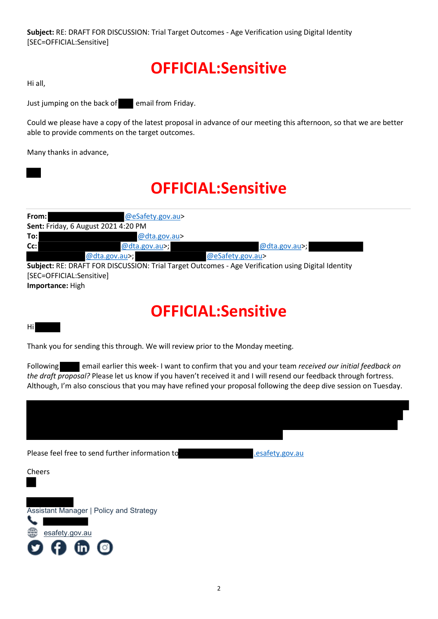Subject: RE: DRAFT FOR DISCUSSION: Trial Target Outcomes - Age Verification using Digital Identity [SEC=OFFICIAL:Sensitive]

# OFFICIAL:Sensitive

Hi all,

Just jumping on the back of email from Friday.

Could we please have a copy of the latest proposal in advance of our meeting this afternoon, so that we are better able to provide comments on the target outcomes.

Many thanks in advance,

### OFFICIAL:Sensitive

| From: I | @eSafety.gov.au>                    |                                                                                                    |
|---------|-------------------------------------|----------------------------------------------------------------------------------------------------|
|         | Sent: Friday, 6 August 2021 4:20 PM |                                                                                                    |
| To:l    | @dta.gov.au>                        |                                                                                                    |
| $Cc$ :  | @dta.gov.au>;                       | @dta.gov.au>;                                                                                      |
|         | @dta.gov.au>;                       | @eSafety.gov.au>                                                                                   |
|         |                                     | Subject: RE: DRAFT FOR DISCUSSION: Trial Target Outcomes - Age Verification using Digital Identity |

 ${\bf t}$ : RE: DRAFT FOR DISCUSSION: Trial Target Outcomes - Age Verification using Digital Identity [SEC=OFFICIAL:Sensitive] Importance: High

# OFFICIAL:Sensitive

#### Hi

Thank you for sending this through. We will review prior to the Monday meeting.

Following email earlier this week- I want to confirm that you and your team received our initial feedback on the draft proposal? Please let us know if you haven't received it and I will resend our feedback through fortress. Although, I'm also conscious that you may have refined your proposal following the deep dive session on Tuesday.



2



esafety.gov.au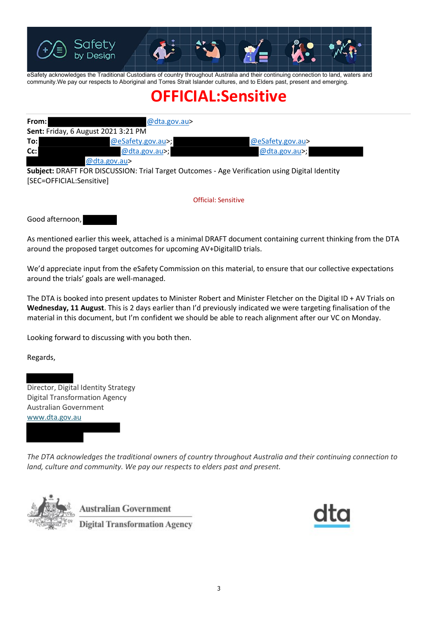

eSafety acknowledges the Traditional Custodians of country throughout Australia and their continuing connection to land, waters and community.We pay our respects to Aboriginal and Torres Strait Islander cultures, and to Elders past, present and emerging.

# OFFICIAL:Sensitive

| From:  | @dta.gov.au>                               |                  |
|--------|--------------------------------------------|------------------|
|        | <b>Sent: Friday, 6 August 2021 3:21 PM</b> |                  |
| To:l   | @eSafety.gov.au>;                          | @eSafety.gov.au> |
| $Cc$ : | @dta.gov.au>;                              | @dta.gov.au>;    |
|        | @dta.gov.au>                               |                  |

Subject: DRAFT FOR DISCUSSION: Trial Target Outcomes - Age Verification using Digital Identity [SEC=OFFICIAL:Sensitive]

Official: Sensitive

Good afternoon,

As mentioned earlier this week, attached is a minimal DRAFT document containing current thinking from the DTA around the proposed target outcomes for upcoming AV+DigitalID trials.

We'd appreciate input from the eSafety Commission on this material, to ensure that our collective expectations around the trials' goals are well-managed.

The DTA is booked into present updates to Minister Robert and Minister Fletcher on the Digital ID + AV Trials on Wednesday, 11 August. This is 2 days earlier than I'd previously indicated we were targeting finalisation of the material in this document, but I'm confident we should be able to reach alignment after our VC on Monday.

Looking forward to discussing with you both then.

Regards,

Director, Digital Identity Strategy Digital Transformation Agency Australian Government www.dta.gov.au

The DTA acknowledges the traditional owners of country throughout Australia and their continuing connection to land, culture and community. We pay our respects to elders past and present.



**Australian Government Digital Transformation Agency**